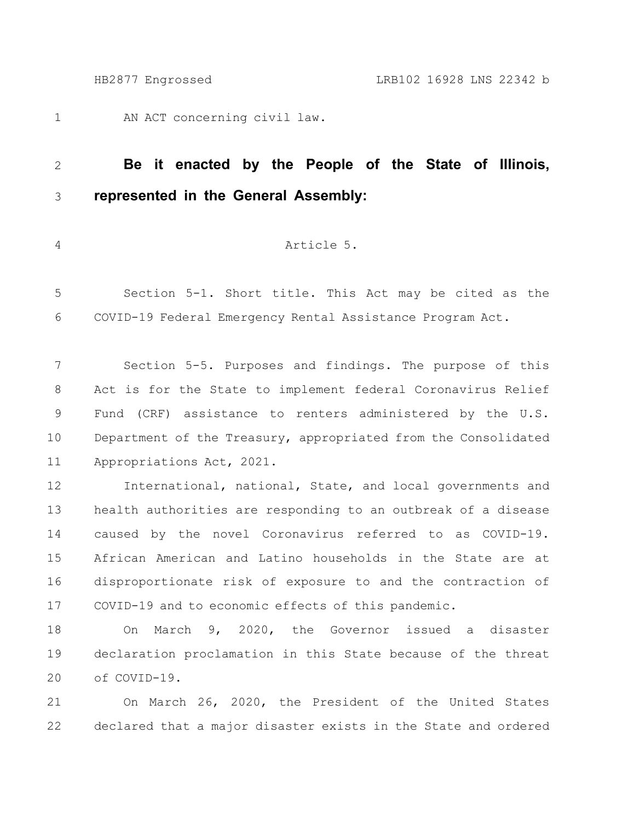AN ACT concerning civil law. 1

## **Be it enacted by the People of the State of Illinois, represented in the General Assembly:** 2 3

4

## Article 5.

Section 5-1. Short title. This Act may be cited as the COVID-19 Federal Emergency Rental Assistance Program Act. 5 6

Section 5-5. Purposes and findings. The purpose of this Act is for the State to implement federal Coronavirus Relief Fund (CRF) assistance to renters administered by the U.S. Department of the Treasury, appropriated from the Consolidated Appropriations Act, 2021. 7 8 9 10 11

International, national, State, and local governments and health authorities are responding to an outbreak of a disease caused by the novel Coronavirus referred to as COVID-19. African American and Latino households in the State are at disproportionate risk of exposure to and the contraction of COVID-19 and to economic effects of this pandemic. 12 13 14 15 16 17

On March 9, 2020, the Governor issued a disaster declaration proclamation in this State because of the threat of COVID-19. 18 19 20

On March 26, 2020, the President of the United States declared that a major disaster exists in the State and ordered 21 22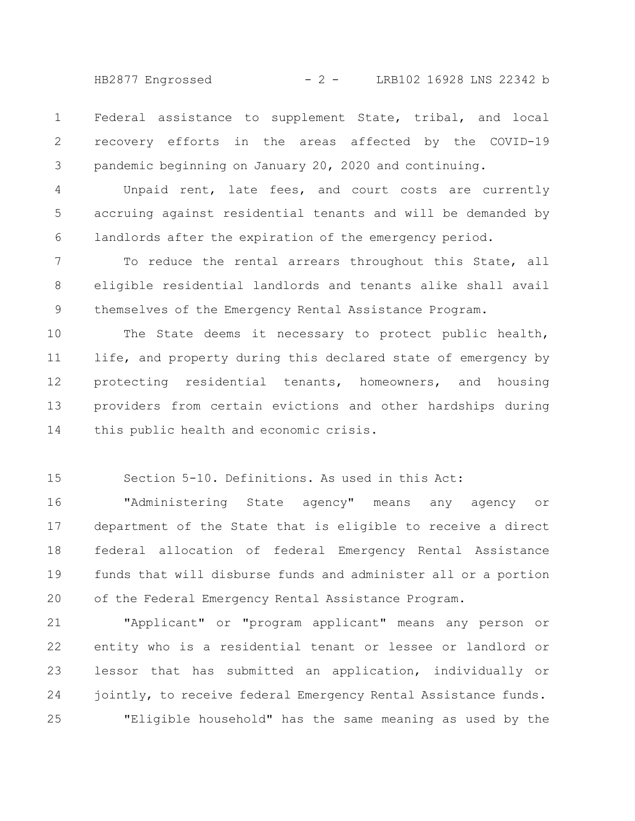HB2877 Engrossed - 2 - LRB102 16928 LNS 22342 b

Federal assistance to supplement State, tribal, and local recovery efforts in the areas affected by the COVID-19 pandemic beginning on January 20, 2020 and continuing. 1 2 3

Unpaid rent, late fees, and court costs are currently accruing against residential tenants and will be demanded by landlords after the expiration of the emergency period. 4 5 6

To reduce the rental arrears throughout this State, all eligible residential landlords and tenants alike shall avail themselves of the Emergency Rental Assistance Program. 7 8 9

The State deems it necessary to protect public health, life, and property during this declared state of emergency by protecting residential tenants, homeowners, and housing providers from certain evictions and other hardships during this public health and economic crisis. 10 11 12 13 14

Section 5-10. Definitions. As used in this Act: 15

"Administering State agency" means any agency or department of the State that is eligible to receive a direct federal allocation of federal Emergency Rental Assistance funds that will disburse funds and administer all or a portion of the Federal Emergency Rental Assistance Program. 16 17 18 19 20

"Applicant" or "program applicant" means any person or entity who is a residential tenant or lessee or landlord or lessor that has submitted an application, individually or jointly, to receive federal Emergency Rental Assistance funds. "Eligible household" has the same meaning as used by the 21 22 23 24 25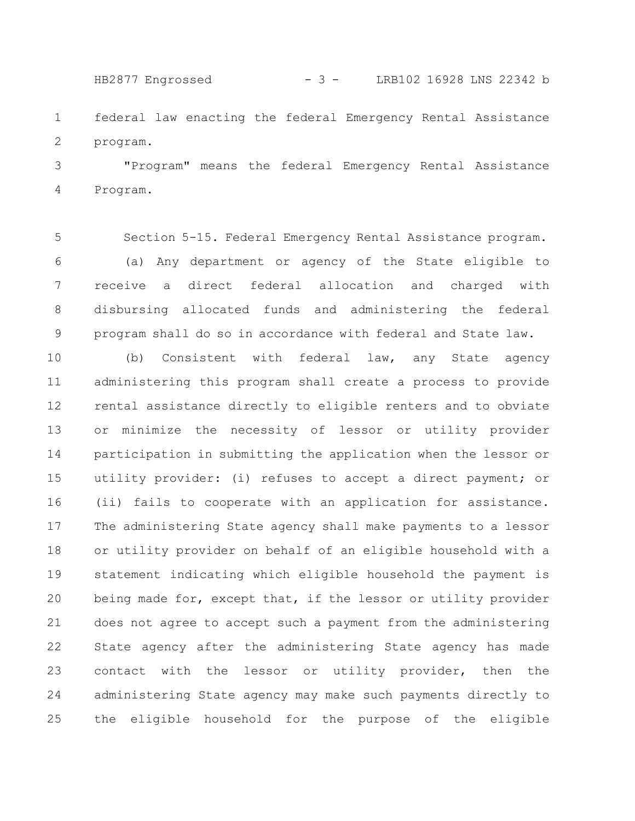federal law enacting the federal Emergency Rental Assistance program. 1 2 HB2877 Engrossed - 3 - LRB102 16928 LNS 22342 b

"Program" means the federal Emergency Rental Assistance Program. 3 4

Section 5-15. Federal Emergency Rental Assistance program. (a) Any department or agency of the State eligible to receive a direct federal allocation and charged with disbursing allocated funds and administering the federal program shall do so in accordance with federal and State law. 5 6 7 8 9

(b) Consistent with federal law, any State agency administering this program shall create a process to provide rental assistance directly to eligible renters and to obviate or minimize the necessity of lessor or utility provider participation in submitting the application when the lessor or utility provider: (i) refuses to accept a direct payment; or (ii) fails to cooperate with an application for assistance. The administering State agency shall make payments to a lessor or utility provider on behalf of an eligible household with a statement indicating which eligible household the payment is being made for, except that, if the lessor or utility provider does not agree to accept such a payment from the administering State agency after the administering State agency has made contact with the lessor or utility provider, then the administering State agency may make such payments directly to the eligible household for the purpose of the eligible 10 11 12 13 14 15 16 17 18 19 20 21 22 23 24 25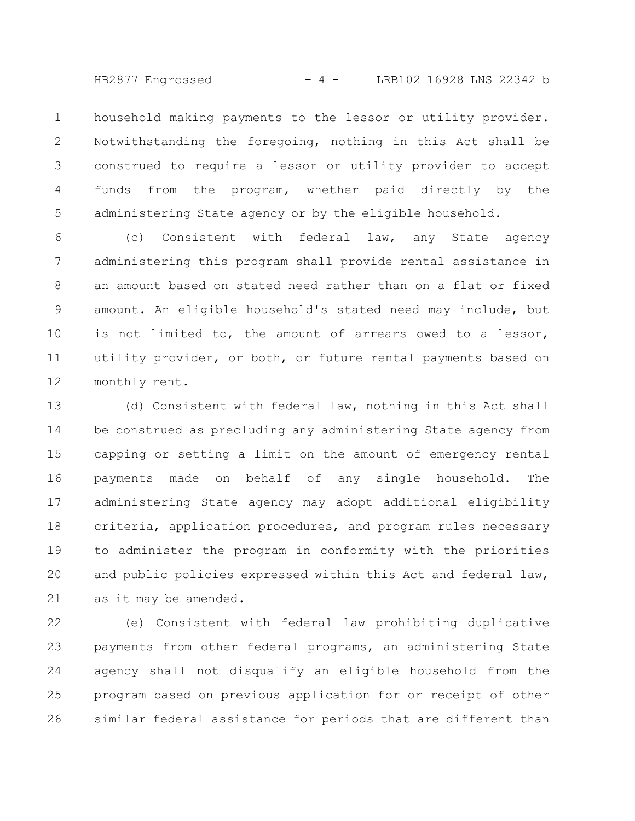HB2877 Engrossed - 4 - LRB102 16928 LNS 22342 b

household making payments to the lessor or utility provider. Notwithstanding the foregoing, nothing in this Act shall be construed to require a lessor or utility provider to accept funds from the program, whether paid directly by the administering State agency or by the eligible household. 1 2 3 4 5

(c) Consistent with federal law, any State agency administering this program shall provide rental assistance in an amount based on stated need rather than on a flat or fixed amount. An eligible household's stated need may include, but is not limited to, the amount of arrears owed to a lessor, utility provider, or both, or future rental payments based on monthly rent. 6 7 8 9 10 11 12

(d) Consistent with federal law, nothing in this Act shall be construed as precluding any administering State agency from capping or setting a limit on the amount of emergency rental payments made on behalf of any single household. The administering State agency may adopt additional eligibility criteria, application procedures, and program rules necessary to administer the program in conformity with the priorities and public policies expressed within this Act and federal law, as it may be amended. 13 14 15 16 17 18 19 20 21

(e) Consistent with federal law prohibiting duplicative payments from other federal programs, an administering State agency shall not disqualify an eligible household from the program based on previous application for or receipt of other similar federal assistance for periods that are different than 22 23 24 25 26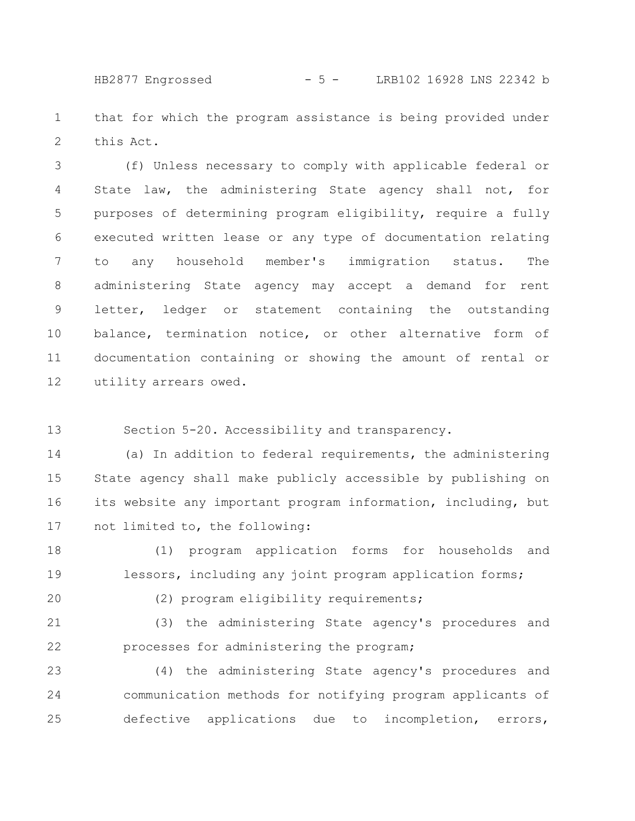HB2877 Engrossed - 5 - LRB102 16928 LNS 22342 b

that for which the program assistance is being provided under this Act. 1 2

(f) Unless necessary to comply with applicable federal or State law, the administering State agency shall not, for purposes of determining program eligibility, require a fully executed written lease or any type of documentation relating to any household member's immigration status. The administering State agency may accept a demand for rent letter, ledger or statement containing the outstanding balance, termination notice, or other alternative form of documentation containing or showing the amount of rental or utility arrears owed. 3 4 5 6 7 8 9 10 11 12

Section 5-20. Accessibility and transparency. 13

(a) In addition to federal requirements, the administering State agency shall make publicly accessible by publishing on its website any important program information, including, but not limited to, the following: 14 15 16 17

(1) program application forms for households and lessors, including any joint program application forms; 18 19

20

(2) program eligibility requirements;

(3) the administering State agency's procedures and processes for administering the program; 21 22

(4) the administering State agency's procedures and communication methods for notifying program applicants of defective applications due to incompletion, errors, 23 24 25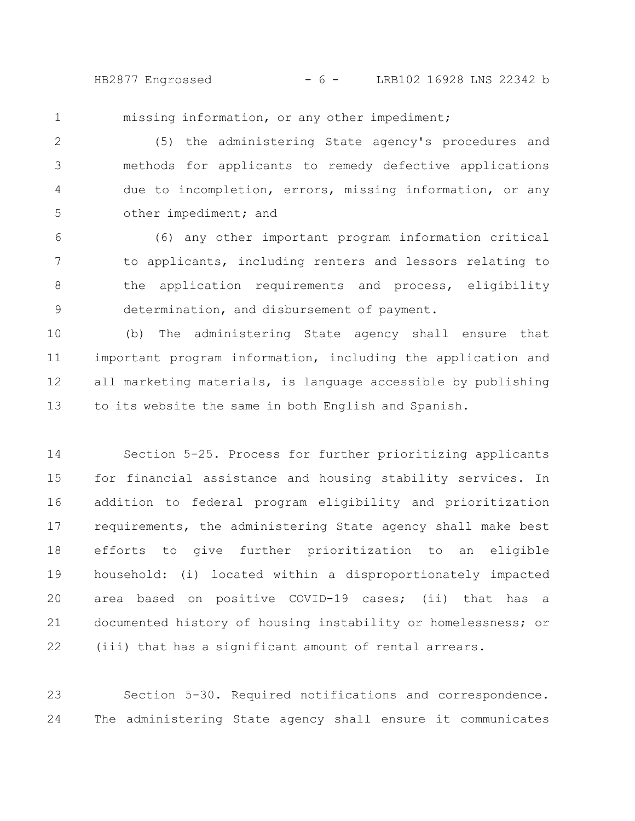HB2877 Engrossed - 6 - LRB102 16928 LNS 22342 b

missing information, or any other impediment;

1

(5) the administering State agency's procedures and methods for applicants to remedy defective applications due to incompletion, errors, missing information, or any other impediment; and 2 3 4 5

(6) any other important program information critical to applicants, including renters and lessors relating to the application requirements and process, eligibility determination, and disbursement of payment. 6 7 8 9

(b) The administering State agency shall ensure that important program information, including the application and all marketing materials, is language accessible by publishing to its website the same in both English and Spanish. 10 11 12 13

Section 5-25. Process for further prioritizing applicants for financial assistance and housing stability services. In addition to federal program eligibility and prioritization requirements, the administering State agency shall make best efforts to give further prioritization to an eligible household: (i) located within a disproportionately impacted area based on positive COVID-19 cases; (ii) that has a documented history of housing instability or homelessness; or (iii) that has a significant amount of rental arrears. 14 15 16 17 18 19 20 21 22

Section 5-30. Required notifications and correspondence. The administering State agency shall ensure it communicates 23 24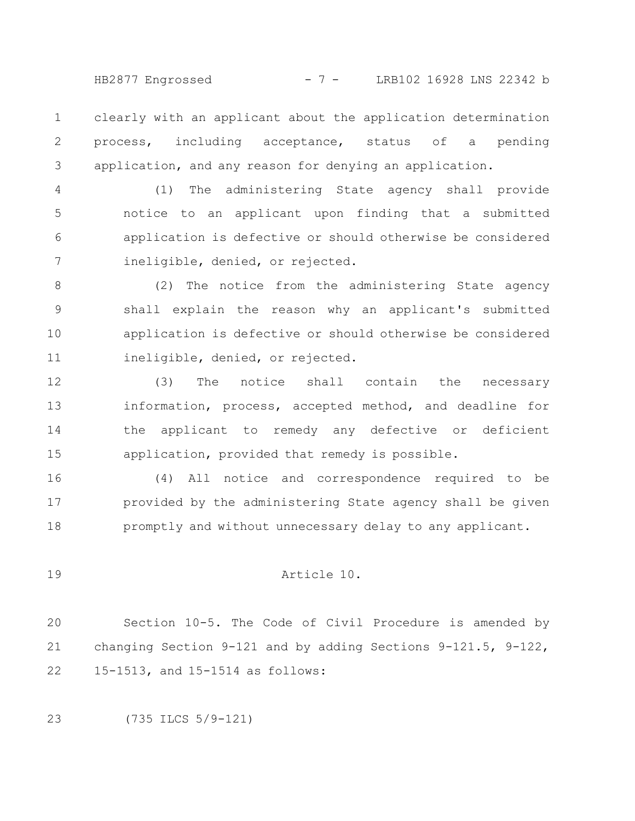HB2877 Engrossed - 7 - LRB102 16928 LNS 22342 b

clearly with an applicant about the application determination process, including acceptance, status of a pending application, and any reason for denying an application. 1 2 3

(1) The administering State agency shall provide notice to an applicant upon finding that a submitted application is defective or should otherwise be considered ineligible, denied, or rejected. 4 5 6 7

(2) The notice from the administering State agency shall explain the reason why an applicant's submitted application is defective or should otherwise be considered ineligible, denied, or rejected. 8 9 10 11

(3) The notice shall contain the necessary information, process, accepted method, and deadline for the applicant to remedy any defective or deficient application, provided that remedy is possible. 12 13 14 15

(4) All notice and correspondence required to be provided by the administering State agency shall be given promptly and without unnecessary delay to any applicant. 16 17 18

## Article 10.

Section 10-5. The Code of Civil Procedure is amended by changing Section 9-121 and by adding Sections 9-121.5, 9-122, 15-1513, and 15-1514 as follows: 20 21 22

(735 ILCS 5/9-121) 23

19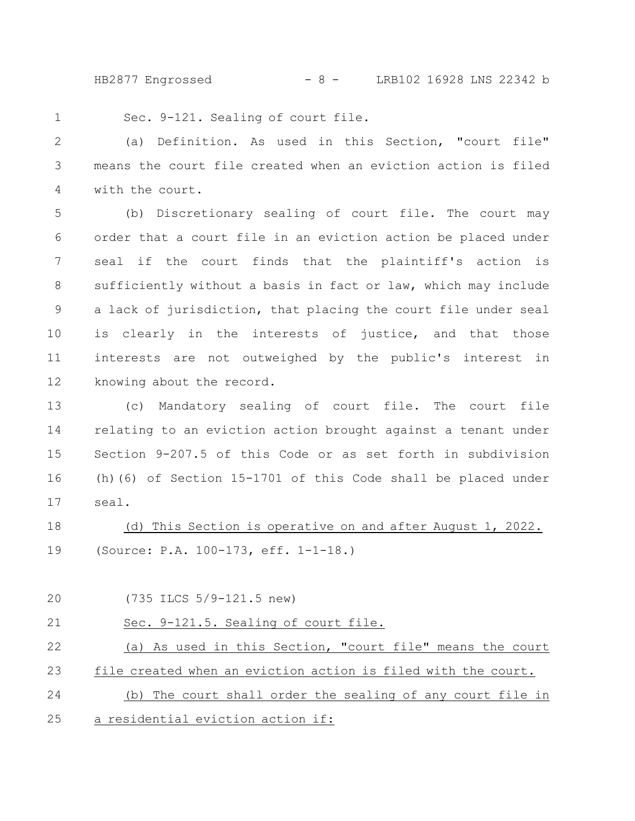HB2877 Engrossed - 8 - LRB102 16928 LNS 22342 b

1

Sec. 9-121. Sealing of court file.

(a) Definition. As used in this Section, "court file" means the court file created when an eviction action is filed with the court. 2 3 4

(b) Discretionary sealing of court file. The court may order that a court file in an eviction action be placed under seal if the court finds that the plaintiff's action is sufficiently without a basis in fact or law, which may include a lack of jurisdiction, that placing the court file under seal is clearly in the interests of justice, and that those interests are not outweighed by the public's interest in knowing about the record. 5 6 7 8 9 10 11 12

(c) Mandatory sealing of court file. The court file relating to an eviction action brought against a tenant under Section 9-207.5 of this Code or as set forth in subdivision (h)(6) of Section 15-1701 of this Code shall be placed under seal. 13 14 15 16 17

(d) This Section is operative on and after August 1, 2022. (Source: P.A. 100-173, eff. 1-1-18.) 18 19

(735 ILCS 5/9-121.5 new) Sec. 9-121.5. Sealing of court file. (a) As used in this Section, "court file" means the court file created when an eviction action is filed with the court. (b) The court shall order the sealing of any court file in a residential eviction action if: 20 21 22 23 24 25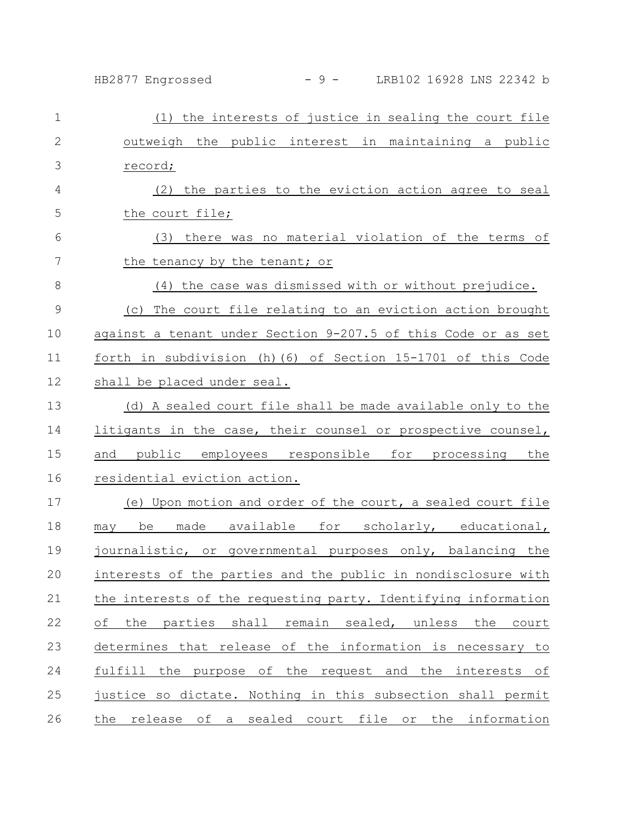## HB2877 Engrossed - 9 - LRB102 16928 LNS 22342 b

| $\mathbf 1$   | (1) the interests of justice in sealing the court file         |
|---------------|----------------------------------------------------------------|
| $\mathbf{2}$  | outweigh the public interest in maintaining a public           |
| 3             | record;                                                        |
| 4             | (2) the parties to the eviction action agree to seal           |
| 5             | the court file;                                                |
| 6             | (3) there was no material violation of the terms of            |
| 7             | the tenancy by the tenant; or                                  |
| 8             | (4) the case was dismissed with or without prejudice.          |
| $\mathcal{G}$ | The court file relating to an eviction action brought<br>(C)   |
| 10            | against a tenant under Section 9-207.5 of this Code or as set  |
| 11            | forth in subdivision (h) (6) of Section 15-1701 of this Code   |
| 12            | shall be placed under seal.                                    |
| 13            | (d) A sealed court file shall be made available only to the    |
| 14            | litigants in the case, their counsel or prospective counsel,   |
| 15            | and public employees responsible for processing the            |
| 16            | residential eviction action.                                   |
| 17            | (e) Upon motion and order of the court, a sealed court file    |
| 18            | made available for scholarly, educational,<br>be<br>may        |
| 19            | journalistic, or governmental purposes only, balancing the     |
| 20            | interests of the parties and the public in nondisclosure with  |
| 21            | the interests of the requesting party. Identifying information |
| 22            | of the parties shall remain sealed, unless the court           |
| 23            | determines that release of the information is necessary to     |
| 24            | fulfill the purpose of the request and the interests of        |
| 25            | justice so dictate. Nothing in this subsection shall permit    |
| 26            | the release of a sealed court file or the information          |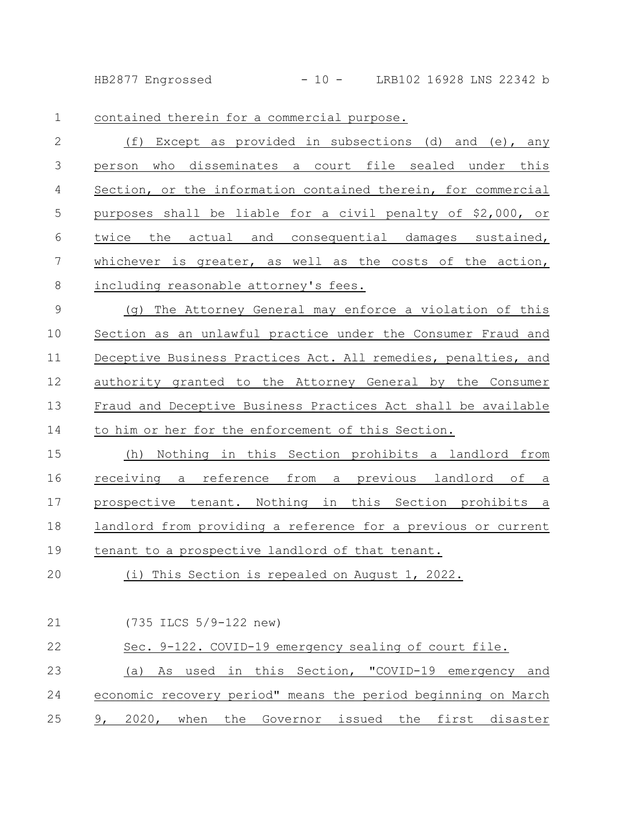HB2877 Engrossed - 10 - LRB102 16928 LNS 22342 b

contained therein for a commercial purpose. 1

(f) Except as provided in subsections (d) and (e), any person who disseminates a court file sealed under this Section, or the information contained therein, for commercial purposes shall be liable for a civil penalty of \$2,000, or twice the actual and consequential damages sustained, whichever is greater, as well as the costs of the action, including reasonable attorney's fees. 2 3 4 5 6 7 8

(g) The Attorney General may enforce a violation of this Section as an unlawful practice under the Consumer Fraud and Deceptive Business Practices Act. All remedies, penalties, and authority granted to the Attorney General by the Consumer Fraud and Deceptive Business Practices Act shall be available to him or her for the enforcement of this Section. 9 10 11 12 13 14

(h) Nothing in this Section prohibits a landlord from receiving a reference from a previous landlord of a prospective tenant. Nothing in this Section prohibits a landlord from providing a reference for a previous or current tenant to a prospective landlord of that tenant. 15 16 17 18 19

(i) This Section is repealed on August 1, 2022. 20

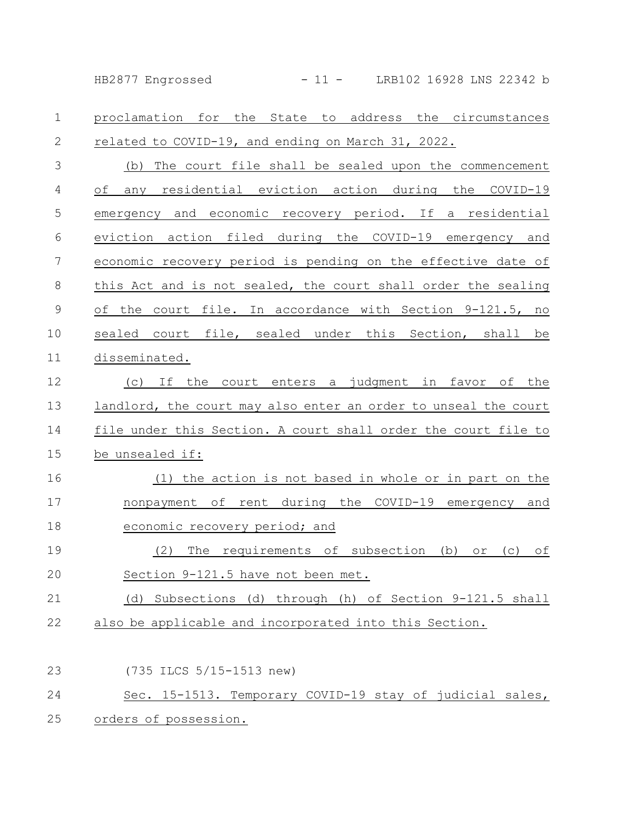HB2877 Engrossed - 11 - LRB102 16928 LNS 22342 b

proclamation for the State to address the circumstances related to COVID-19, and ending on March 31, 2022. (b) The court file shall be sealed upon the commencement of any residential eviction action during the COVID-19 emergency and economic recovery period. If a residential eviction action filed during the COVID-19 emergency and economic recovery period is pending on the effective date of this Act and is not sealed, the court shall order the sealing of the court file. In accordance with Section 9-121.5, no sealed court file, sealed under this Section, shall be disseminated. (c) If the court enters a judgment in favor of the landlord, the court may also enter an order to unseal the court file under this Section. A court shall order the court file to be unsealed if: (1) the action is not based in whole or in part on the nonpayment of rent during the COVID-19 emergency and economic recovery period; and (2) The requirements of subsection (b) or (c) of Section 9-121.5 have not been met. (d) Subsections (d) through (h) of Section 9-121.5 shall also be applicable and incorporated into this Section. (735 ILCS 5/15-1513 new) Sec. 15-1513. Temporary COVID-19 stay of judicial sales, 1 2 3 4 5 6 7 8 9 10 11 12 13 14 15 16 17 18 19 20 21 22 23 24

orders of possession. 25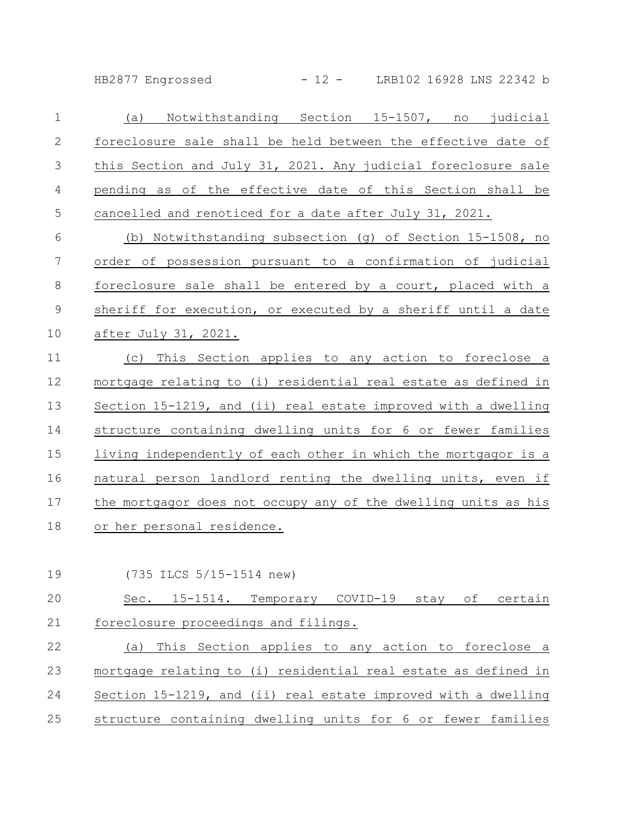HB2877 Engrossed - 12 - LRB102 16928 LNS 22342 b

| $\mathbf 1$     | Notwithstanding Section 15-1507, no judicial<br>(a)            |
|-----------------|----------------------------------------------------------------|
| $\mathbf{2}$    | foreclosure sale shall be held between the effective date of   |
| 3               | this Section and July 31, 2021. Any judicial foreclosure sale  |
| 4               | pending as of the effective date of this Section shall be      |
| 5               | cancelled and renoticed for a date after July 31, 2021.        |
| 6               | (b) Notwithstanding subsection (g) of Section 15-1508, no      |
| $7\phantom{.0}$ | order of possession pursuant to a confirmation of judicial     |
| 8               | foreclosure sale shall be entered by a court, placed with a    |
| $\mathcal{G}$   | sheriff for execution, or executed by a sheriff until a date   |
| 10              | after July 31, 2021.                                           |
| 11              | (c) This Section applies to any action to foreclose a          |
| 12              | mortgage relating to (i) residential real estate as defined in |
| 13              | Section 15-1219, and (ii) real estate improved with a dwelling |
| 14              | structure containing dwelling units for 6 or fewer families    |
| 15              | living independently of each other in which the mortgagor is a |
| 16              | natural person landlord renting the dwelling units, even if    |
| 17              | the mortgagor does not occupy any of the dwelling units as his |
| 18              | or her personal residence.                                     |

(735 ILCS 5/15-1514 new) 19

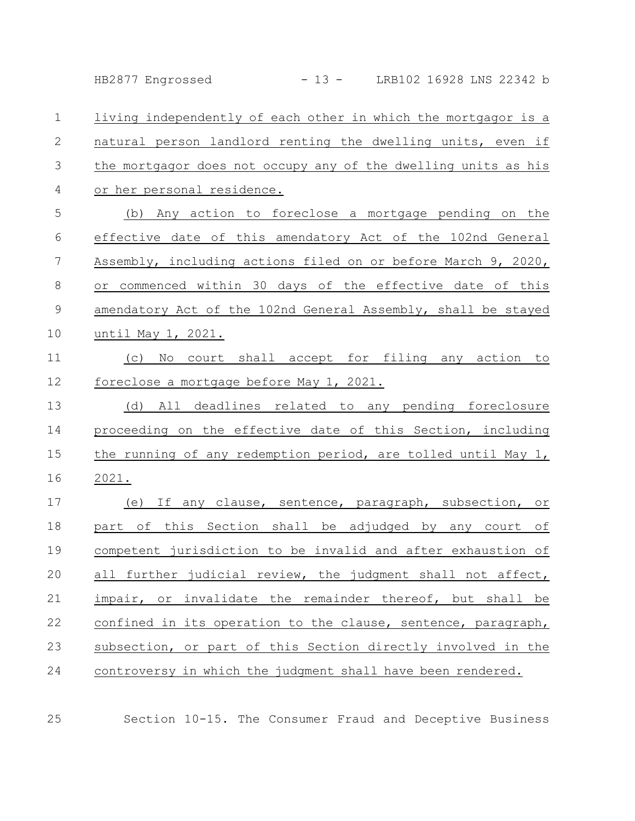HB2877 Engrossed - 13 - LRB102 16928 LNS 22342 b

living independently of each other in which the mortgagor is a natural person landlord renting the dwelling units, even if the mortgagor does not occupy any of the dwelling units as his or her personal residence. 1 2 3 4

(b) Any action to foreclose a mortgage pending on the effective date of this amendatory Act of the 102nd General Assembly, including actions filed on or before March 9, 2020, or commenced within 30 days of the effective date of this amendatory Act of the 102nd General Assembly, shall be stayed until May 1, 2021. 5 6 7 8 9 10

(c) No court shall accept for filing any action to foreclose a mortgage before May 1, 2021. 11 12

(d) All deadlines related to any pending foreclosure proceeding on the effective date of this Section, including the running of any redemption period, are tolled until May 1, 2021. 13 14 15 16

(e) If any clause, sentence, paragraph, subsection, or part of this Section shall be adjudged by any court of competent jurisdiction to be invalid and after exhaustion of all further judicial review, the judgment shall not affect, impair, or invalidate the remainder thereof, but shall be confined in its operation to the clause, sentence, paragraph, subsection, or part of this Section directly involved in the controversy in which the judgment shall have been rendered. 17 18 19 20 21 22 23 24

25

Section 10-15. The Consumer Fraud and Deceptive Business